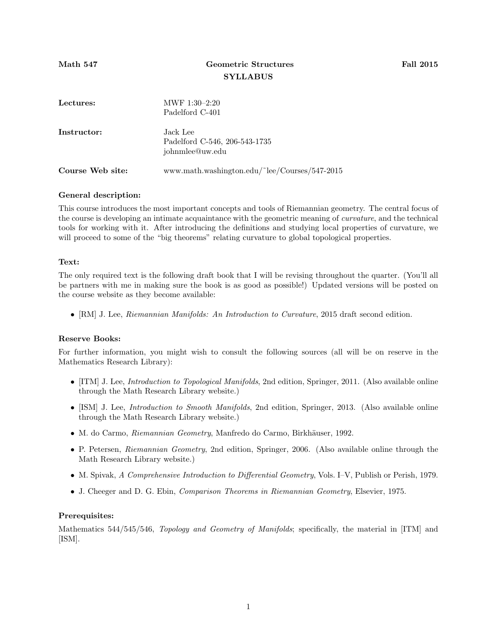# Math 547 Geometric Structures Fall 2015 **SYLLABUS**

| Lectures:        | $MWF 1:30-2:20$<br>Padelford C-401                           |
|------------------|--------------------------------------------------------------|
| Instructor:      | Jack Lee<br>Padelford C-546, 206-543-1735<br>johnmlee@uw.edu |
| Course Web site: | www.math.washington.edu/~lee/Courses/547-2015                |

### General description:

This course introduces the most important concepts and tools of Riemannian geometry. The central focus of the course is developing an intimate acquaintance with the geometric meaning of curvature, and the technical tools for working with it. After introducing the definitions and studying local properties of curvature, we will proceed to some of the "big theorems" relating curvature to global topological properties.

#### Text:

The only required text is the following draft book that I will be revising throughout the quarter. (You'll all be partners with me in making sure the book is as good as possible!) Updated versions will be posted on the course website as they become available:

• [RM] J. Lee, *Riemannian Manifolds: An Introduction to Curvature*, 2015 draft second edition.

### Reserve Books:

For further information, you might wish to consult the following sources (all will be on reserve in the Mathematics Research Library):

- [ITM] J. Lee, *Introduction to Topological Manifolds*, 2nd edition, Springer, 2011. (Also available online through the Math Research Library website.)
- [ISM] J. Lee, *Introduction to Smooth Manifolds*, 2nd edition, Springer, 2013. (Also available online through the Math Research Library website.)
- M. do Carmo, Riemannian Geometry, Manfredo do Carmo, Birkhäuser, 1992.
- P. Petersen, Riemannian Geometry, 2nd edition, Springer, 2006. (Also available online through the Math Research Library website.)
- M. Spivak, A Comprehensive Introduction to Differential Geometry, Vols. I–V, Publish or Perish, 1979.
- J. Cheeger and D. G. Ebin, Comparison Theorems in Riemannian Geometry, Elsevier, 1975.

### Prerequisites:

Mathematics 544/545/546, *Topology and Geometry of Manifolds*; specifically, the material in [ITM] and [ISM].